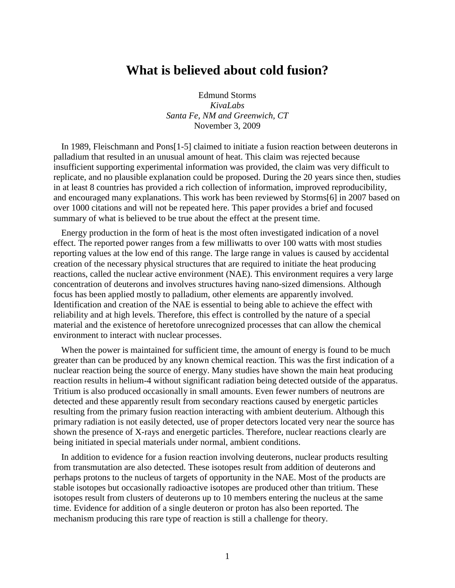## **What is believed about cold fusion?**

Edmund Storms *KivaLabs Santa Fe, NM and Greenwich, CT* November 3, 2009

In 1989, Fleischmann and Pons[1-5] claimed to initiate a fusion reaction between deuterons in palladium that resulted in an unusual amount of heat. This claim was rejected because insufficient supporting experimental information was provided, the claim was very difficult to replicate, and no plausible explanation could be proposed. During the 20 years since then, studies in at least 8 countries has provided a rich collection of information, improved reproducibility, and encouraged many explanations. This work has been reviewed by Storms[6] in 2007 based on over 1000 citations and will not be repeated here. This paper provides a brief and focused summary of what is believed to be true about the effect at the present time.

Energy production in the form of heat is the most often investigated indication of a novel effect. The reported power ranges from a few milliwatts to over 100 watts with most studies reporting values at the low end of this range. The large range in values is caused by accidental creation of the necessary physical structures that are required to initiate the heat producing reactions, called the nuclear active environment (NAE). This environment requires a very large concentration of deuterons and involves structures having nano-sized dimensions. Although focus has been applied mostly to palladium, other elements are apparently involved. Identification and creation of the NAE is essential to being able to achieve the effect with reliability and at high levels. Therefore, this effect is controlled by the nature of a special material and the existence of heretofore unrecognized processes that can allow the chemical environment to interact with nuclear processes.

When the power is maintained for sufficient time, the amount of energy is found to be much greater than can be produced by any known chemical reaction. This was the first indication of a nuclear reaction being the source of energy. Many studies have shown the main heat producing reaction results in helium-4 without significant radiation being detected outside of the apparatus. Tritium is also produced occasionally in small amounts. Even fewer numbers of neutrons are detected and these apparently result from secondary reactions caused by energetic particles resulting from the primary fusion reaction interacting with ambient deuterium. Although this primary radiation is not easily detected, use of proper detectors located very near the source has shown the presence of X-rays and energetic particles. Therefore, nuclear reactions clearly are being initiated in special materials under normal, ambient conditions.

In addition to evidence for a fusion reaction involving deuterons, nuclear products resulting from transmutation are also detected. These isotopes result from addition of deuterons and perhaps protons to the nucleus of targets of opportunity in the NAE. Most of the products are stable isotopes but occasionally radioactive isotopes are produced other than tritium. These isotopes result from clusters of deuterons up to 10 members entering the nucleus at the same time. Evidence for addition of a single deuteron or proton has also been reported. The mechanism producing this rare type of reaction is still a challenge for theory.